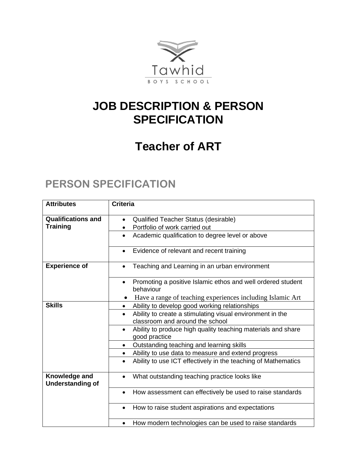

## **JOB DESCRIPTION & PERSON SPECIFICATION**

## **Teacher of ART**

## **PERSON SPECIFICATION**

| <b>Attributes</b>                        | <b>Criteria</b>                                                                                           |
|------------------------------------------|-----------------------------------------------------------------------------------------------------------|
| <b>Qualifications and</b>                | Qualified Teacher Status (desirable)<br>$\bullet$                                                         |
| <b>Training</b>                          | Portfolio of work carried out<br>٠                                                                        |
|                                          | Academic qualification to degree level or above<br>$\bullet$                                              |
|                                          | Evidence of relevant and recent training<br>$\bullet$                                                     |
| <b>Experience of</b>                     | Teaching and Learning in an urban environment<br>$\bullet$                                                |
|                                          | Promoting a positive Islamic ethos and well ordered student<br>$\bullet$<br>behaviour                     |
|                                          | Have a range of teaching experiences including Islamic Art                                                |
| <b>Skills</b>                            | Ability to develop good working relationships                                                             |
|                                          | Ability to create a stimulating visual environment in the<br>$\bullet$<br>classroom and around the school |
|                                          | Ability to produce high quality teaching materials and share<br>$\bullet$<br>good practice                |
|                                          | Outstanding teaching and learning skills<br>$\bullet$                                                     |
|                                          | Ability to use data to measure and extend progress<br>$\bullet$                                           |
|                                          | Ability to use ICT effectively in the teaching of Mathematics<br>$\bullet$                                |
| Knowledge and<br><b>Understanding of</b> | What outstanding teaching practice looks like<br>٠                                                        |
|                                          | How assessment can effectively be used to raise standards<br>$\bullet$                                    |
|                                          | How to raise student aspirations and expectations<br>$\bullet$                                            |
|                                          | How modern technologies can be used to raise standards<br>٠                                               |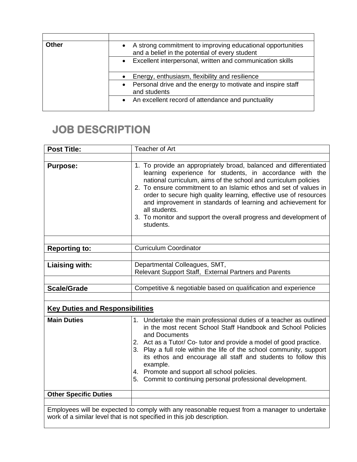| Other | A strong commitment to improving educational opportunities<br>and a belief in the potential of every student |
|-------|--------------------------------------------------------------------------------------------------------------|
|       | Excellent interpersonal, written and communication skills<br>$\bullet$                                       |
|       | Energy, enthusiasm, flexibility and resilience                                                               |
|       |                                                                                                              |
|       | Personal drive and the energy to motivate and inspire staff<br>$\bullet$<br>and students                     |

## **JOB DESCRIPTION**

| <b>Post Title:</b>                     | Teacher of Art                                                                                                                                                                                                                                                                                                                                                                                                                                                                                               |  |
|----------------------------------------|--------------------------------------------------------------------------------------------------------------------------------------------------------------------------------------------------------------------------------------------------------------------------------------------------------------------------------------------------------------------------------------------------------------------------------------------------------------------------------------------------------------|--|
|                                        |                                                                                                                                                                                                                                                                                                                                                                                                                                                                                                              |  |
| <b>Purpose:</b>                        | 1. To provide an appropriately broad, balanced and differentiated<br>learning experience for students, in accordance with the<br>national curriculum, aims of the school and curriculum policies<br>2. To ensure commitment to an Islamic ethos and set of values in<br>order to secure high quality learning, effective use of resources<br>and improvement in standards of learning and achievement for<br>all students.<br>3. To monitor and support the overall progress and development of<br>students. |  |
|                                        |                                                                                                                                                                                                                                                                                                                                                                                                                                                                                                              |  |
| <b>Reporting to:</b>                   | <b>Curriculum Coordinator</b>                                                                                                                                                                                                                                                                                                                                                                                                                                                                                |  |
|                                        |                                                                                                                                                                                                                                                                                                                                                                                                                                                                                                              |  |
| <b>Liaising with:</b>                  | Departmental Colleagues, SMT,                                                                                                                                                                                                                                                                                                                                                                                                                                                                                |  |
|                                        | Relevant Support Staff, External Partners and Parents                                                                                                                                                                                                                                                                                                                                                                                                                                                        |  |
|                                        | Competitive & negotiable based on qualification and experience                                                                                                                                                                                                                                                                                                                                                                                                                                               |  |
| <b>Scale/Grade</b>                     |                                                                                                                                                                                                                                                                                                                                                                                                                                                                                                              |  |
|                                        |                                                                                                                                                                                                                                                                                                                                                                                                                                                                                                              |  |
| <b>Key Duties and Responsibilities</b> |                                                                                                                                                                                                                                                                                                                                                                                                                                                                                                              |  |
| <b>Main Duties</b>                     | 1. Undertake the main professional duties of a teacher as outlined<br>in the most recent School Staff Handbook and School Policies<br>and Documents<br>2. Act as a Tutor/ Co-tutor and provide a model of good practice.<br>3. Play a full role within the life of the school community, support<br>its ethos and encourage all staff and students to follow this<br>example.<br>4. Promote and support all school policies.<br>5. Commit to continuing personal professional development.                   |  |
| <b>Other Specific Duties</b>           |                                                                                                                                                                                                                                                                                                                                                                                                                                                                                                              |  |
|                                        |                                                                                                                                                                                                                                                                                                                                                                                                                                                                                                              |  |
|                                        | Employees will be expected to comply with any reasonable request from a manager to undertake                                                                                                                                                                                                                                                                                                                                                                                                                 |  |

Employees will be expected to comply with any reasonable request from a manager to undertake work of a similar level that is not specified in this job description.